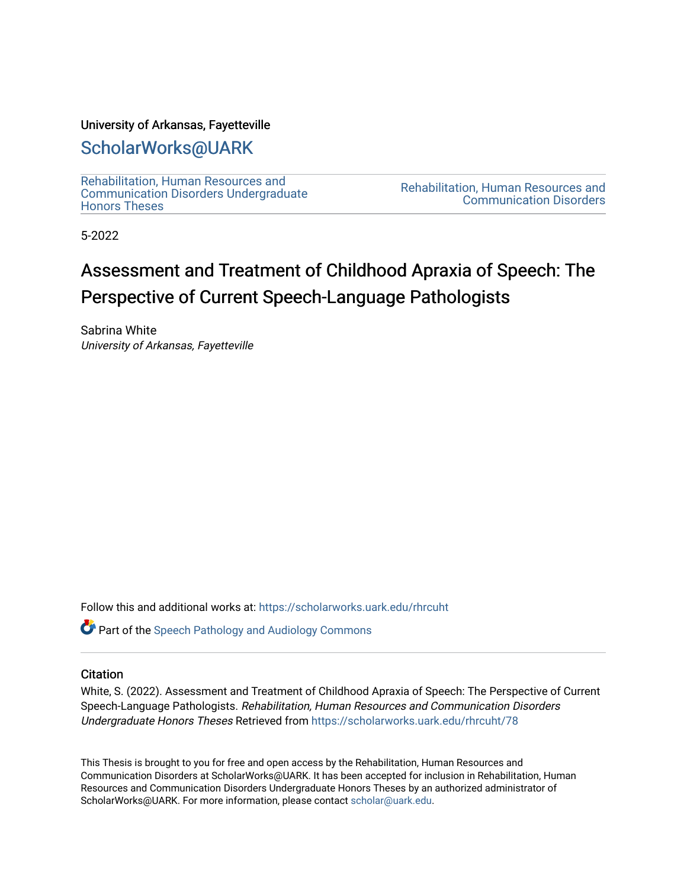#### University of Arkansas, Fayetteville

## [ScholarWorks@UARK](https://scholarworks.uark.edu/)

[Rehabilitation, Human Resources and](https://scholarworks.uark.edu/rhrcuht)  [Communication Disorders Undergraduate](https://scholarworks.uark.edu/rhrcuht) [Honors Theses](https://scholarworks.uark.edu/rhrcuht)

[Rehabilitation, Human Resources and](https://scholarworks.uark.edu/rhrc)  [Communication Disorders](https://scholarworks.uark.edu/rhrc) 

5-2022

# Assessment and Treatment of Childhood Apraxia of Speech: The Perspective of Current Speech-Language Pathologists

Sabrina White University of Arkansas, Fayetteville

Follow this and additional works at: [https://scholarworks.uark.edu/rhrcuht](https://scholarworks.uark.edu/rhrcuht?utm_source=scholarworks.uark.edu%2Frhrcuht%2F78&utm_medium=PDF&utm_campaign=PDFCoverPages) 

**Part of the Speech Pathology and Audiology Commons** 

#### **Citation**

White, S. (2022). Assessment and Treatment of Childhood Apraxia of Speech: The Perspective of Current Speech-Language Pathologists. Rehabilitation, Human Resources and Communication Disorders Undergraduate Honors Theses Retrieved from [https://scholarworks.uark.edu/rhrcuht/78](https://scholarworks.uark.edu/rhrcuht/78?utm_source=scholarworks.uark.edu%2Frhrcuht%2F78&utm_medium=PDF&utm_campaign=PDFCoverPages)

This Thesis is brought to you for free and open access by the Rehabilitation, Human Resources and Communication Disorders at ScholarWorks@UARK. It has been accepted for inclusion in Rehabilitation, Human Resources and Communication Disorders Undergraduate Honors Theses by an authorized administrator of ScholarWorks@UARK. For more information, please contact [scholar@uark.edu](mailto:scholar@uark.edu).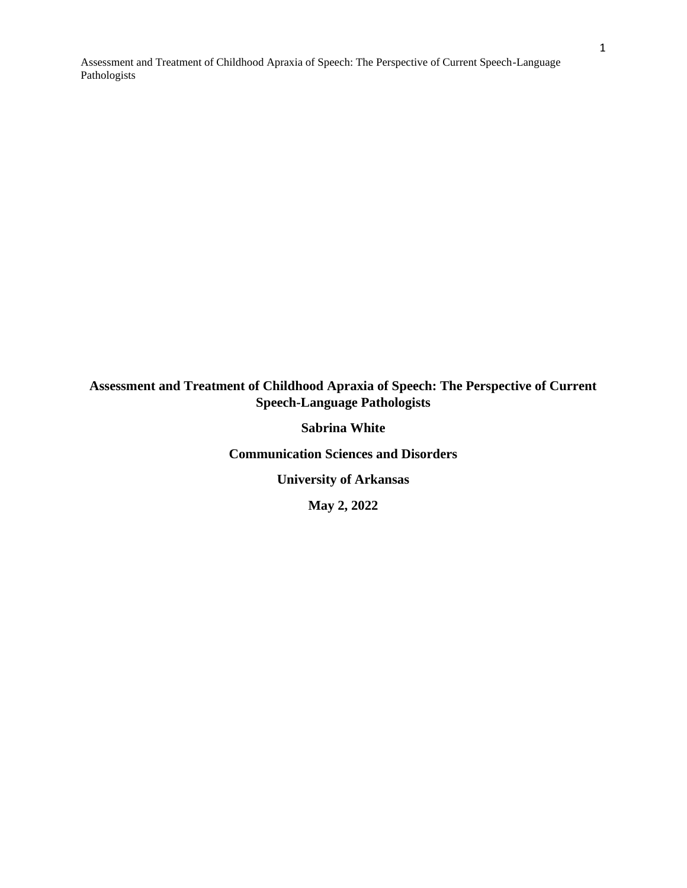### **Assessment and Treatment of Childhood Apraxia of Speech: The Perspective of Current Speech-Language Pathologists**

**Sabrina White**

**Communication Sciences and Disorders**

**University of Arkansas**

**May 2, 2022**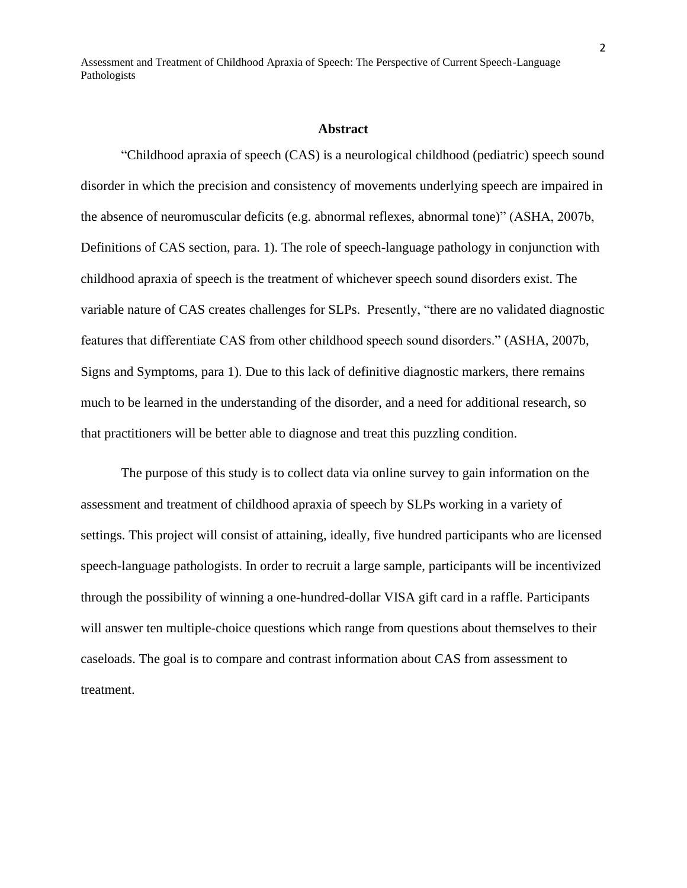#### **Abstract**

"Childhood apraxia of speech (CAS) is a neurological childhood (pediatric) speech sound disorder in which the precision and consistency of movements underlying speech are impaired in the absence of neuromuscular deficits (e.g. abnormal reflexes, abnormal tone)" (ASHA, 2007b, Definitions of CAS section, para. 1). The role of speech-language pathology in conjunction with childhood apraxia of speech is the treatment of whichever speech sound disorders exist. The variable nature of CAS creates challenges for SLPs. Presently, "there are no validated diagnostic features that differentiate CAS from other childhood speech sound disorders." (ASHA, 2007b, Signs and Symptoms, para 1). Due to this lack of definitive diagnostic markers, there remains much to be learned in the understanding of the disorder, and a need for additional research, so that practitioners will be better able to diagnose and treat this puzzling condition.

The purpose of this study is to collect data via online survey to gain information on the assessment and treatment of childhood apraxia of speech by SLPs working in a variety of settings. This project will consist of attaining, ideally, five hundred participants who are licensed speech-language pathologists. In order to recruit a large sample, participants will be incentivized through the possibility of winning a one-hundred-dollar VISA gift card in a raffle. Participants will answer ten multiple-choice questions which range from questions about themselves to their caseloads. The goal is to compare and contrast information about CAS from assessment to treatment.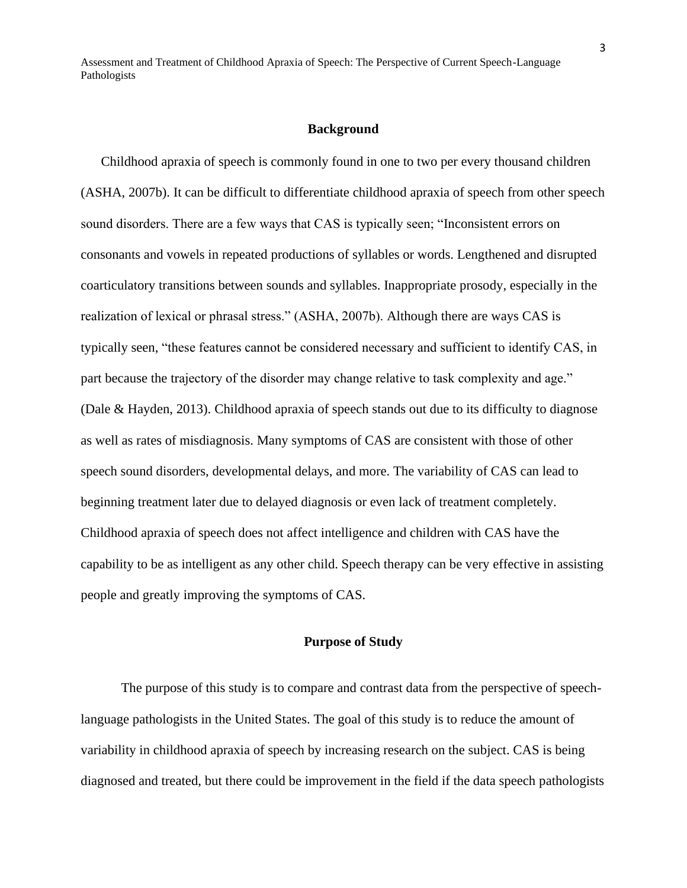#### **Background**

Childhood apraxia of speech is commonly found in one to two per every thousand children (ASHA, 2007b). It can be difficult to differentiate childhood apraxia of speech from other speech sound disorders. There are a few ways that CAS is typically seen; "Inconsistent errors on consonants and vowels in repeated productions of syllables or words. Lengthened and disrupted coarticulatory transitions between sounds and syllables. Inappropriate prosody, especially in the realization of lexical or phrasal stress." (ASHA, 2007b). Although there are ways CAS is typically seen, "these features cannot be considered necessary and sufficient to identify CAS, in part because the trajectory of the disorder may change relative to task complexity and age." (Dale & Hayden, 2013). Childhood apraxia of speech stands out due to its difficulty to diagnose as well as rates of misdiagnosis. Many symptoms of CAS are consistent with those of other speech sound disorders, developmental delays, and more. The variability of CAS can lead to beginning treatment later due to delayed diagnosis or even lack of treatment completely. Childhood apraxia of speech does not affect intelligence and children with CAS have the capability to be as intelligent as any other child. Speech therapy can be very effective in assisting people and greatly improving the symptoms of CAS.

#### **Purpose of Study**

The purpose of this study is to compare and contrast data from the perspective of speechlanguage pathologists in the United States. The goal of this study is to reduce the amount of variability in childhood apraxia of speech by increasing research on the subject. CAS is being diagnosed and treated, but there could be improvement in the field if the data speech pathologists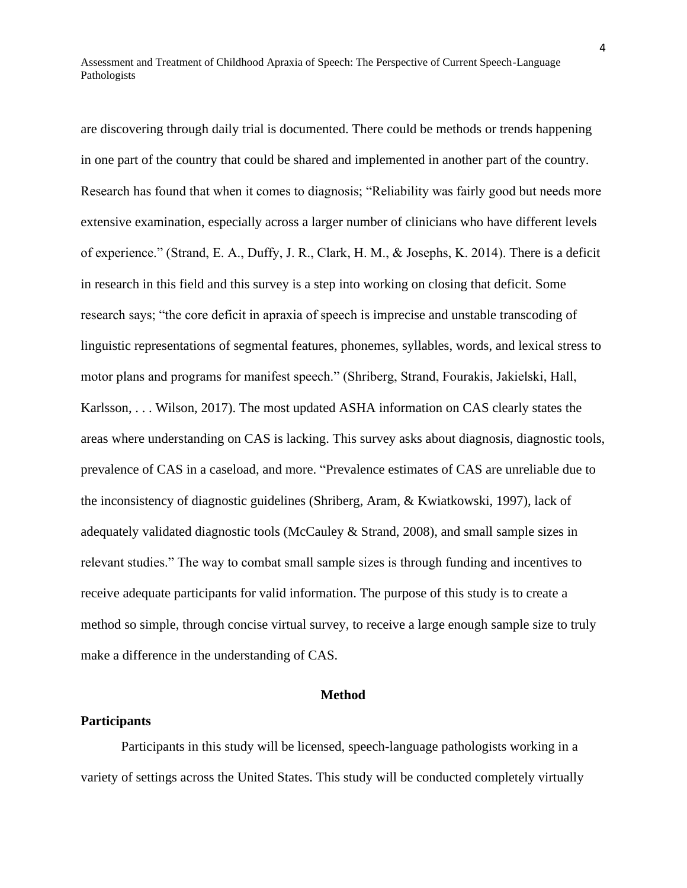are discovering through daily trial is documented. There could be methods or trends happening in one part of the country that could be shared and implemented in another part of the country. Research has found that when it comes to diagnosis; "Reliability was fairly good but needs more extensive examination, especially across a larger number of clinicians who have different levels of experience." (Strand, E. A., Duffy, J. R., Clark, H. M., & Josephs, K. 2014). There is a deficit in research in this field and this survey is a step into working on closing that deficit. Some research says; "the core deficit in apraxia of speech is imprecise and unstable transcoding of linguistic representations of segmental features, phonemes, syllables, words, and lexical stress to motor plans and programs for manifest speech." (Shriberg, Strand, Fourakis, Jakielski, Hall, Karlsson, . . . Wilson, 2017). The most updated ASHA information on CAS clearly states the areas where understanding on CAS is lacking. This survey asks about diagnosis, diagnostic tools, prevalence of CAS in a caseload, and more. "Prevalence estimates of CAS are unreliable due to the inconsistency of diagnostic guidelines (Shriberg, Aram, & Kwiatkowski, 1997), lack of adequately validated diagnostic tools (McCauley & Strand, 2008), and small sample sizes in relevant studies." The way to combat small sample sizes is through funding and incentives to receive adequate participants for valid information. The purpose of this study is to create a method so simple, through concise virtual survey, to receive a large enough sample size to truly make a difference in the understanding of CAS.

#### **Method**

#### **Participants**

Participants in this study will be licensed, speech-language pathologists working in a variety of settings across the United States. This study will be conducted completely virtually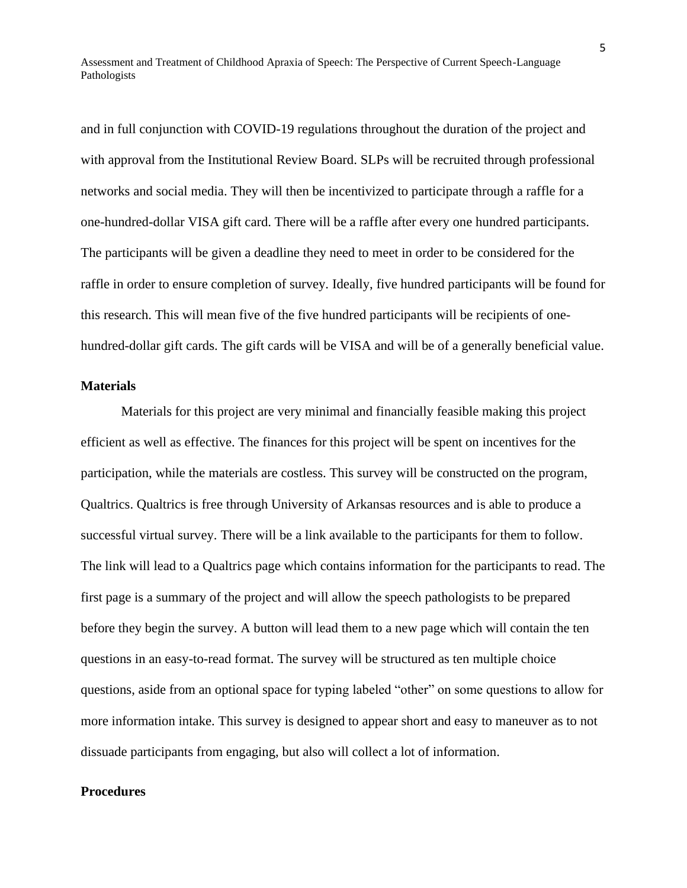and in full conjunction with COVID-19 regulations throughout the duration of the project and with approval from the Institutional Review Board. SLPs will be recruited through professional networks and social media. They will then be incentivized to participate through a raffle for a one-hundred-dollar VISA gift card. There will be a raffle after every one hundred participants. The participants will be given a deadline they need to meet in order to be considered for the raffle in order to ensure completion of survey. Ideally, five hundred participants will be found for this research. This will mean five of the five hundred participants will be recipients of onehundred-dollar gift cards. The gift cards will be VISA and will be of a generally beneficial value.

#### **Materials**

Materials for this project are very minimal and financially feasible making this project efficient as well as effective. The finances for this project will be spent on incentives for the participation, while the materials are costless. This survey will be constructed on the program, Qualtrics. Qualtrics is free through University of Arkansas resources and is able to produce a successful virtual survey. There will be a link available to the participants for them to follow. The link will lead to a Qualtrics page which contains information for the participants to read. The first page is a summary of the project and will allow the speech pathologists to be prepared before they begin the survey. A button will lead them to a new page which will contain the ten questions in an easy-to-read format. The survey will be structured as ten multiple choice questions, aside from an optional space for typing labeled "other" on some questions to allow for more information intake. This survey is designed to appear short and easy to maneuver as to not dissuade participants from engaging, but also will collect a lot of information.

#### **Procedures**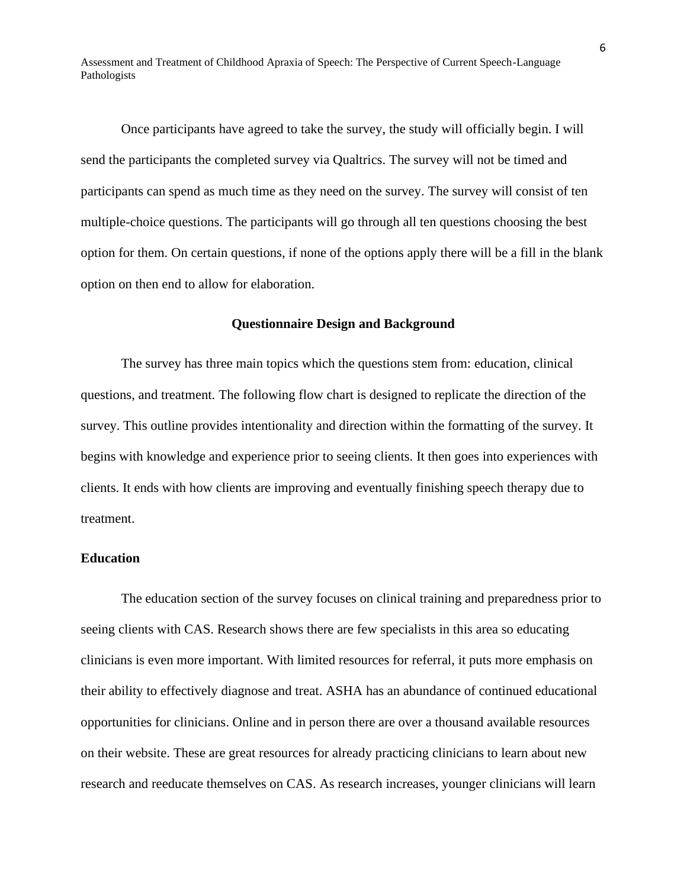Once participants have agreed to take the survey, the study will officially begin. I will send the participants the completed survey via Qualtrics. The survey will not be timed and participants can spend as much time as they need on the survey. The survey will consist of ten multiple-choice questions. The participants will go through all ten questions choosing the best option for them. On certain questions, if none of the options apply there will be a fill in the blank option on then end to allow for elaboration.

#### **Questionnaire Design and Background**

The survey has three main topics which the questions stem from: education, clinical questions, and treatment. The following flow chart is designed to replicate the direction of the survey. This outline provides intentionality and direction within the formatting of the survey. It begins with knowledge and experience prior to seeing clients. It then goes into experiences with clients. It ends with how clients are improving and eventually finishing speech therapy due to treatment.

#### **Education**

The education section of the survey focuses on clinical training and preparedness prior to seeing clients with CAS. Research shows there are few specialists in this area so educating clinicians is even more important. With limited resources for referral, it puts more emphasis on their ability to effectively diagnose and treat. ASHA has an abundance of continued educational opportunities for clinicians. Online and in person there are over a thousand available resources on their website. These are great resources for already practicing clinicians to learn about new research and reeducate themselves on CAS. As research increases, younger clinicians will learn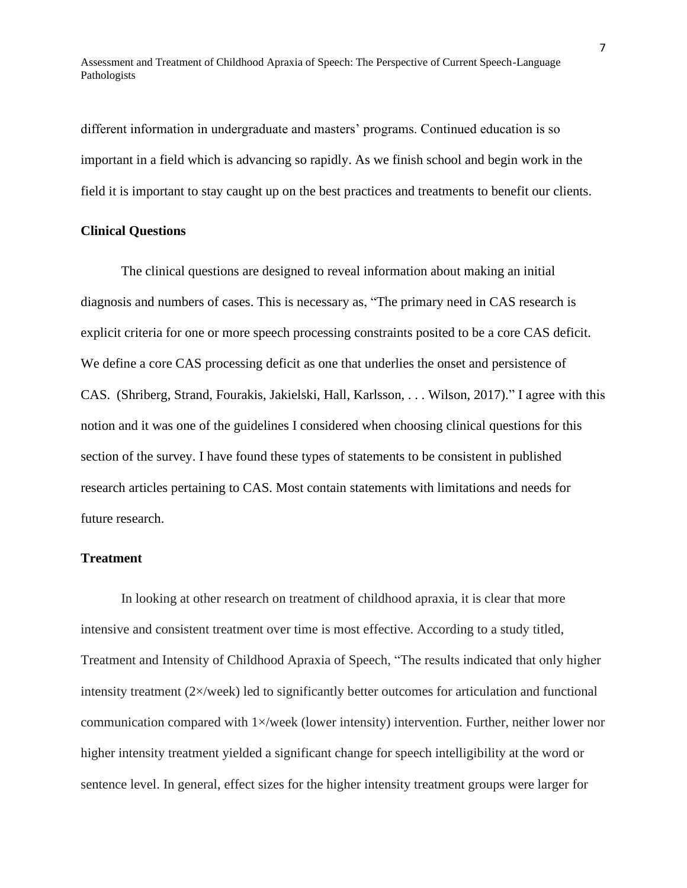different information in undergraduate and masters' programs. Continued education is so important in a field which is advancing so rapidly. As we finish school and begin work in the field it is important to stay caught up on the best practices and treatments to benefit our clients.

#### **Clinical Questions**

The clinical questions are designed to reveal information about making an initial diagnosis and numbers of cases. This is necessary as, "The primary need in CAS research is explicit criteria for one or more speech processing constraints posited to be a core CAS deficit. We define a core CAS processing deficit as one that underlies the onset and persistence of CAS. (Shriberg, Strand, Fourakis, Jakielski, Hall, Karlsson, . . . Wilson, 2017)." I agree with this notion and it was one of the guidelines I considered when choosing clinical questions for this section of the survey. I have found these types of statements to be consistent in published research articles pertaining to CAS. Most contain statements with limitations and needs for future research.

#### **Treatment**

In looking at other research on treatment of childhood apraxia, it is clear that more intensive and consistent treatment over time is most effective. According to a study titled, Treatment and Intensity of Childhood Apraxia of Speech, "The results indicated that only higher intensity treatment (2×/week) led to significantly better outcomes for articulation and functional communication compared with 1×/week (lower intensity) intervention. Further, neither lower nor higher intensity treatment yielded a significant change for speech intelligibility at the word or sentence level. In general, effect sizes for the higher intensity treatment groups were larger for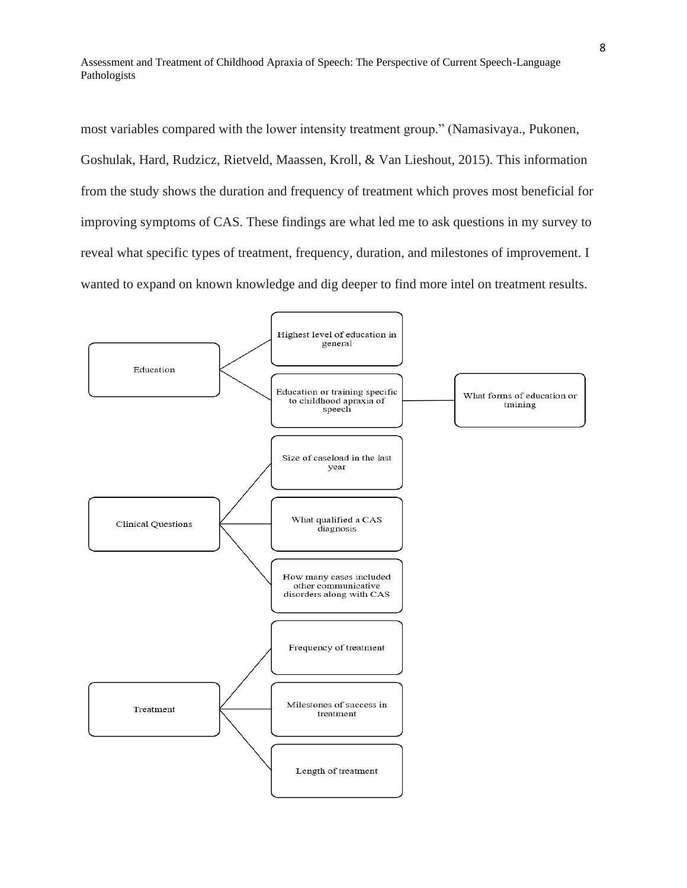most variables compared with the lower intensity treatment group." (Namasivaya., Pukonen, Goshulak, Hard, Rudzicz, Rietveld, Maassen, Kroll, & Van Lieshout, 2015). This information from the study shows the duration and frequency of treatment which proves most beneficial for improving symptoms of CAS. These findings are what led me to ask questions in my survey to reveal what specific types of treatment, frequency, duration, and milestones of improvement. I wanted to expand on known knowledge and dig deeper to find more intel on treatment results.

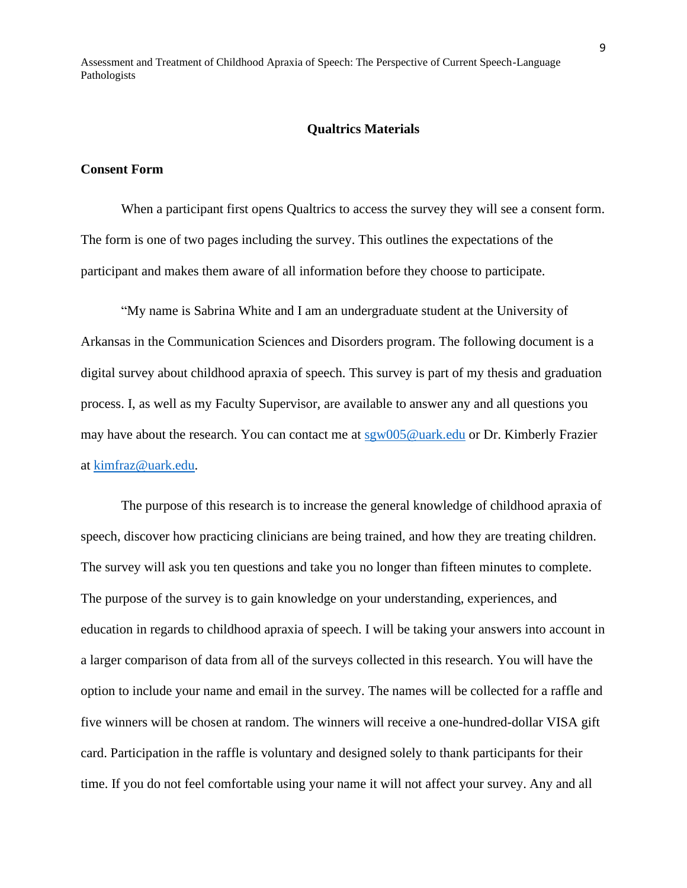#### **Qualtrics Materials**

#### **Consent Form**

When a participant first opens Qualtrics to access the survey they will see a consent form. The form is one of two pages including the survey. This outlines the expectations of the participant and makes them aware of all information before they choose to participate.

"My name is Sabrina White and I am an undergraduate student at the University of Arkansas in the Communication Sciences and Disorders program. The following document is a digital survey about childhood apraxia of speech. This survey is part of my thesis and graduation process. I, as well as my Faculty Supervisor, are available to answer any and all questions you may have about the research. You can contact me at [sgw005@uark.edu](mailto:sgw005@uark.edu) or Dr. Kimberly Frazier at [kimfraz@uark.edu.](mailto:kimfraz@uark.edu)

The purpose of this research is to increase the general knowledge of childhood apraxia of speech, discover how practicing clinicians are being trained, and how they are treating children. The survey will ask you ten questions and take you no longer than fifteen minutes to complete. The purpose of the survey is to gain knowledge on your understanding, experiences, and education in regards to childhood apraxia of speech. I will be taking your answers into account in a larger comparison of data from all of the surveys collected in this research. You will have the option to include your name and email in the survey. The names will be collected for a raffle and five winners will be chosen at random. The winners will receive a one-hundred-dollar VISA gift card. Participation in the raffle is voluntary and designed solely to thank participants for their time. If you do not feel comfortable using your name it will not affect your survey. Any and all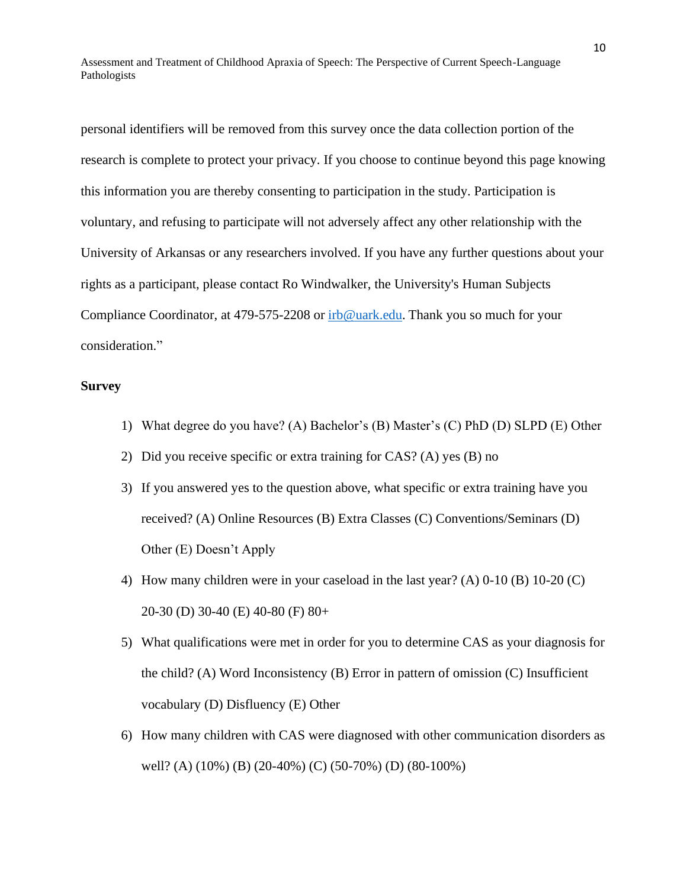personal identifiers will be removed from this survey once the data collection portion of the research is complete to protect your privacy. If you choose to continue beyond this page knowing this information you are thereby consenting to participation in the study. Participation is voluntary, and refusing to participate will not adversely affect any other relationship with the University of Arkansas or any researchers involved. If you have any further questions about your rights as a participant, please contact Ro Windwalker, the University's Human Subjects Compliance Coordinator, at 479-575-2208 or [irb@uark.edu.](mailto:irb@uark.edu) Thank you so much for your consideration."

#### **Survey**

- 1) What degree do you have? (A) Bachelor's (B) Master's (C) PhD (D) SLPD (E) Other
- 2) Did you receive specific or extra training for CAS? (A) yes (B) no
- 3) If you answered yes to the question above, what specific or extra training have you received? (A) Online Resources (B) Extra Classes (C) Conventions/Seminars (D) Other (E) Doesn't Apply
- 4) How many children were in your caseload in the last year? (A) 0-10 (B) 10-20 (C) 20-30 (D) 30-40 (E) 40-80 (F) 80+
- 5) What qualifications were met in order for you to determine CAS as your diagnosis for the child? (A) Word Inconsistency (B) Error in pattern of omission (C) Insufficient vocabulary (D) Disfluency (E) Other
- 6) How many children with CAS were diagnosed with other communication disorders as well? (A) (10%) (B) (20-40%) (C) (50-70%) (D) (80-100%)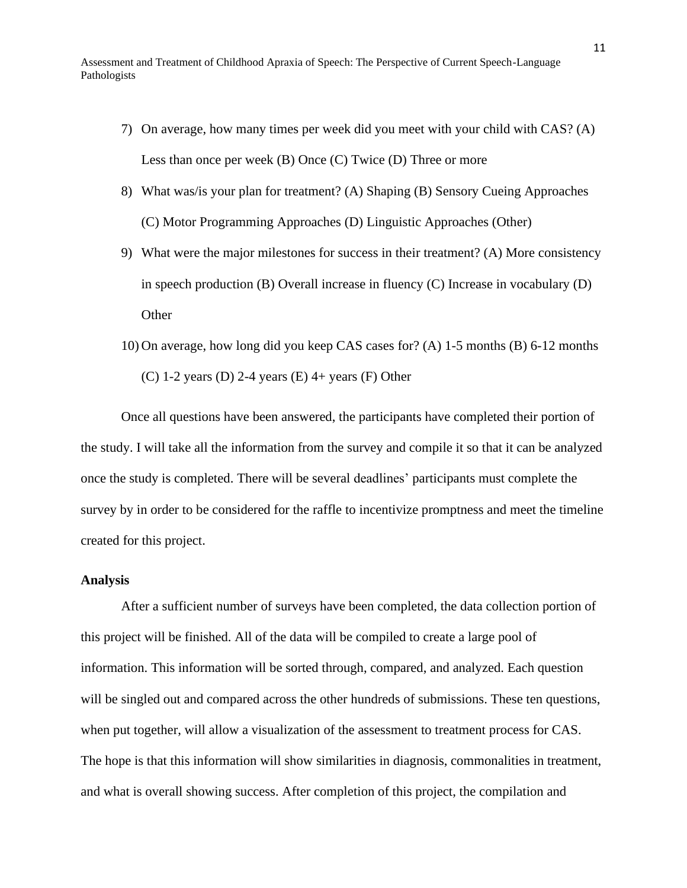- 7) On average, how many times per week did you meet with your child with CAS? (A) Less than once per week (B) Once (C) Twice (D) Three or more
- 8) What was/is your plan for treatment? (A) Shaping (B) Sensory Cueing Approaches (C) Motor Programming Approaches (D) Linguistic Approaches (Other)
- 9) What were the major milestones for success in their treatment? (A) More consistency in speech production (B) Overall increase in fluency (C) Increase in vocabulary (D) **Other**
- 10) On average, how long did you keep CAS cases for? (A) 1-5 months (B) 6-12 months (C) 1-2 years (D) 2-4 years (E)  $4+$  years (F) Other

Once all questions have been answered, the participants have completed their portion of the study. I will take all the information from the survey and compile it so that it can be analyzed once the study is completed. There will be several deadlines' participants must complete the survey by in order to be considered for the raffle to incentivize promptness and meet the timeline created for this project.

#### **Analysis**

After a sufficient number of surveys have been completed, the data collection portion of this project will be finished. All of the data will be compiled to create a large pool of information. This information will be sorted through, compared, and analyzed. Each question will be singled out and compared across the other hundreds of submissions. These ten questions, when put together, will allow a visualization of the assessment to treatment process for CAS. The hope is that this information will show similarities in diagnosis, commonalities in treatment, and what is overall showing success. After completion of this project, the compilation and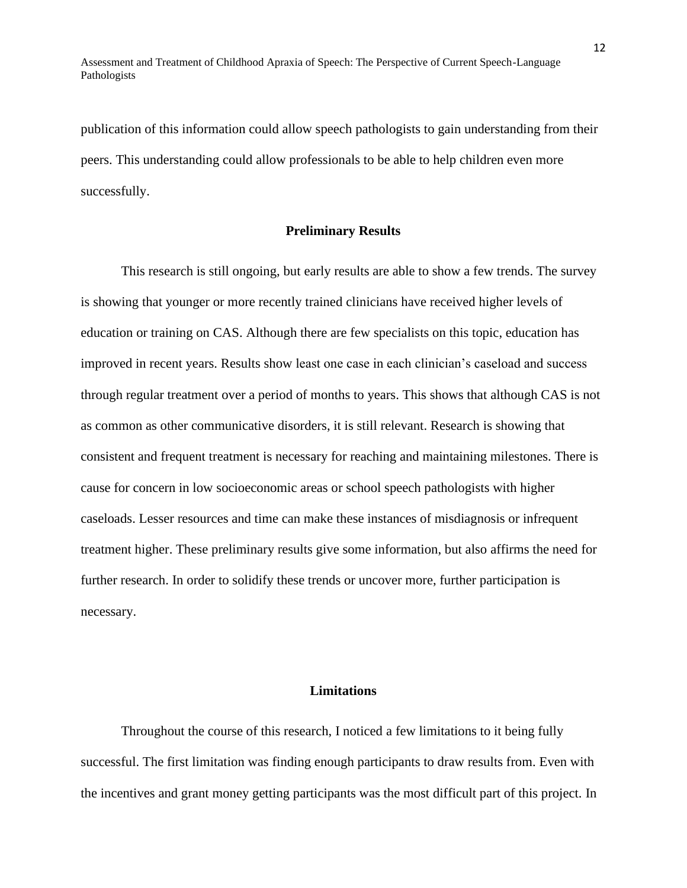publication of this information could allow speech pathologists to gain understanding from their peers. This understanding could allow professionals to be able to help children even more successfully.

#### **Preliminary Results**

This research is still ongoing, but early results are able to show a few trends. The survey is showing that younger or more recently trained clinicians have received higher levels of education or training on CAS. Although there are few specialists on this topic, education has improved in recent years. Results show least one case in each clinician's caseload and success through regular treatment over a period of months to years. This shows that although CAS is not as common as other communicative disorders, it is still relevant. Research is showing that consistent and frequent treatment is necessary for reaching and maintaining milestones. There is cause for concern in low socioeconomic areas or school speech pathologists with higher caseloads. Lesser resources and time can make these instances of misdiagnosis or infrequent treatment higher. These preliminary results give some information, but also affirms the need for further research. In order to solidify these trends or uncover more, further participation is necessary.

#### **Limitations**

Throughout the course of this research, I noticed a few limitations to it being fully successful. The first limitation was finding enough participants to draw results from. Even with the incentives and grant money getting participants was the most difficult part of this project. In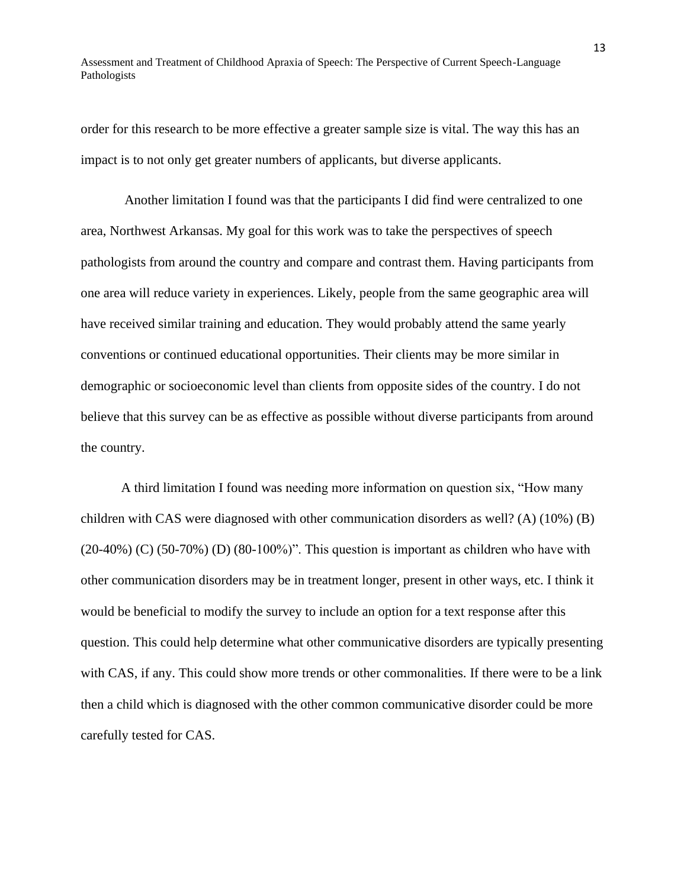order for this research to be more effective a greater sample size is vital. The way this has an impact is to not only get greater numbers of applicants, but diverse applicants.

Another limitation I found was that the participants I did find were centralized to one area, Northwest Arkansas. My goal for this work was to take the perspectives of speech pathologists from around the country and compare and contrast them. Having participants from one area will reduce variety in experiences. Likely, people from the same geographic area will have received similar training and education. They would probably attend the same yearly conventions or continued educational opportunities. Their clients may be more similar in demographic or socioeconomic level than clients from opposite sides of the country. I do not believe that this survey can be as effective as possible without diverse participants from around the country.

A third limitation I found was needing more information on question six, "How many children with CAS were diagnosed with other communication disorders as well? (A) (10%) (B)  $(20-40%)$  (C)  $(50-70%)$  (D)  $(80-100%)$ ". This question is important as children who have with other communication disorders may be in treatment longer, present in other ways, etc. I think it would be beneficial to modify the survey to include an option for a text response after this question. This could help determine what other communicative disorders are typically presenting with CAS, if any. This could show more trends or other commonalities. If there were to be a link then a child which is diagnosed with the other common communicative disorder could be more carefully tested for CAS.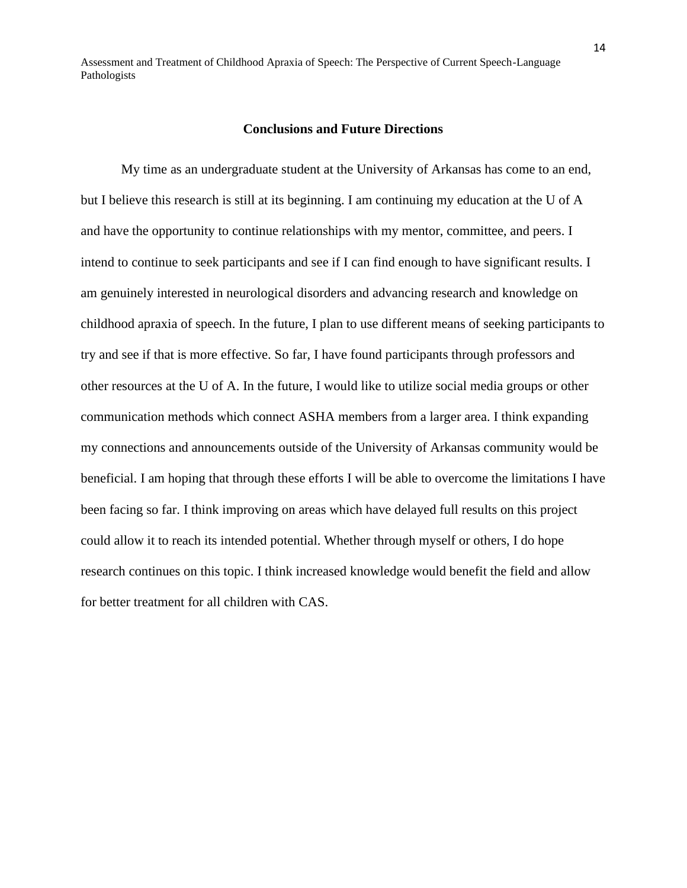#### **Conclusions and Future Directions**

My time as an undergraduate student at the University of Arkansas has come to an end, but I believe this research is still at its beginning. I am continuing my education at the U of A and have the opportunity to continue relationships with my mentor, committee, and peers. I intend to continue to seek participants and see if I can find enough to have significant results. I am genuinely interested in neurological disorders and advancing research and knowledge on childhood apraxia of speech. In the future, I plan to use different means of seeking participants to try and see if that is more effective. So far, I have found participants through professors and other resources at the U of A. In the future, I would like to utilize social media groups or other communication methods which connect ASHA members from a larger area. I think expanding my connections and announcements outside of the University of Arkansas community would be beneficial. I am hoping that through these efforts I will be able to overcome the limitations I have been facing so far. I think improving on areas which have delayed full results on this project could allow it to reach its intended potential. Whether through myself or others, I do hope research continues on this topic. I think increased knowledge would benefit the field and allow for better treatment for all children with CAS.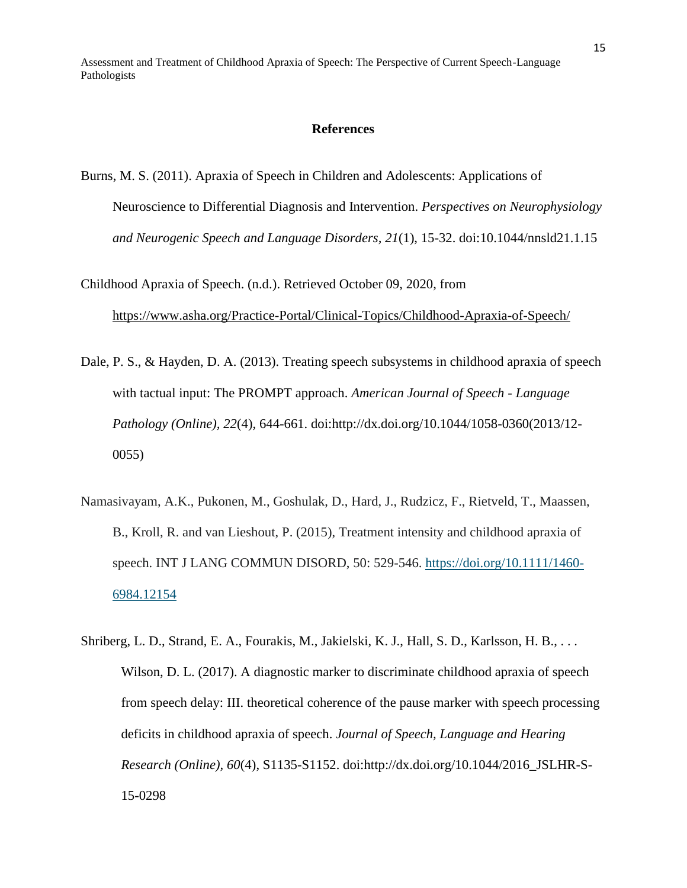#### **References**

Burns, M. S. (2011). Apraxia of Speech in Children and Adolescents: Applications of Neuroscience to Differential Diagnosis and Intervention. *Perspectives on Neurophysiology and Neurogenic Speech and Language Disorders, 21*(1), 15-32. doi:10.1044/nnsld21.1.15

Childhood Apraxia of Speech. (n.d.). Retrieved October 09, 2020, from <https://www.asha.org/Practice-Portal/Clinical-Topics/Childhood-Apraxia-of-Speech/>

- Dale, P. S., & Hayden, D. A. (2013). Treating speech subsystems in childhood apraxia of speech with tactual input: The PROMPT approach. *American Journal of Speech - Language Pathology (Online), 22*(4), 644-661. doi:http://dx.doi.org/10.1044/1058-0360(2013/12- 0055)
- Namasivayam, A.K., Pukonen, M., Goshulak, D., Hard, J., Rudzicz, F., Rietveld, T., Maassen, B., Kroll, R. and van Lieshout, P. (2015), Treatment intensity and childhood apraxia of speech. INT J LANG COMMUN DISORD, 50: 529-546. [https://doi.org/10.1111/1460-](https://doi.org/10.1111/1460-6984.12154) [6984.12154](https://doi.org/10.1111/1460-6984.12154)
- Shriberg, L. D., Strand, E. A., Fourakis, M., Jakielski, K. J., Hall, S. D., Karlsson, H. B., . . . Wilson, D. L. (2017). A diagnostic marker to discriminate childhood apraxia of speech from speech delay: III. theoretical coherence of the pause marker with speech processing deficits in childhood apraxia of speech. *Journal of Speech, Language and Hearing Research (Online), 60*(4), S1135-S1152. doi:http://dx.doi.org/10.1044/2016\_JSLHR-S-15-0298